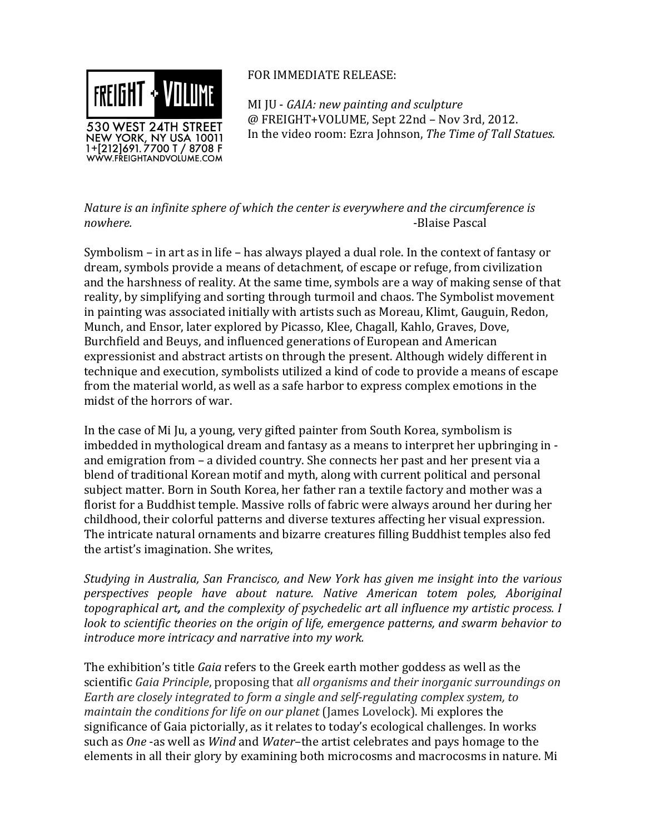

## FOR IMMEDIATE RELEASE:

MI JU - *GAIA: new painting and sculpture* @ FREIGHT+VOLUME, Sept 22nd - Nov 3rd, 2012. In the video room: Ezra Johnson, *The Time of Tall Statues.* 

*Nature is an infinite sphere of which the center is everywhere and the circumference is nowhere.* -Blaise Pascal

Symbolism – in art as in life – has always played a dual role. In the context of fantasy or dream, symbols provide a means of detachment, of escape or refuge, from civilization and the harshness of reality. At the same time, symbols are a way of making sense of that reality, by simplifying and sorting through turmoil and chaos. The Symbolist movement in painting was associated initially with artists such as Moreau, Klimt, Gauguin, Redon, Munch, and Ensor, later explored by Picasso, Klee, Chagall, Kahlo, Graves, Dove, Burchfield and Beuys, and influenced generations of European and American expressionist and abstract artists on through the present. Although widely different in technique and execution, symbolists utilized a kind of code to provide a means of escape from the material world, as well as a safe harbor to express complex emotions in the midst of the horrors of war.

In the case of Mi Ju, a young, very gifted painter from South Korea, symbolism is imbedded in mythological dream and fantasy as a means to interpret her upbringing in and emigration from – a divided country. She connects her past and her present via a blend of traditional Korean motif and myth, along with current political and personal subject matter. Born in South Korea, her father ran a textile factory and mother was a florist for a Buddhist temple. Massive rolls of fabric were always around her during her childhood, their colorful patterns and diverse textures affecting her visual expression. The intricate natural ornaments and bizarre creatures filling Buddhist temples also fed the artist's imagination. She writes,

*Studying in Australia, San Francisco, and New York has given me insight into the various perspectives people have about nature. Native American totem poles, Aboriginal topographical art, and the complexity of psychedelic art all influence my artistic process. I look to scientific theories on the origin of life, emergence patterns, and swarm behavior to introduce more intricacy and narrative into my work.* 

The exhibition's title *Gaia* refers to the Greek earth mother goddess as well as the scientific *Gaia Principle*, proposing that *all organisms and their inorganic surroundings on Earth are closely integrated to form a single and self-regulating complex system, to maintain the conditions for life on our planet* (James Lovelock). Mi explores the significance of Gaia pictorially, as it relates to today's ecological challenges. In works such as *One* -as well as *Wind* and *Water*–the artist celebrates and pays homage to the elements in all their glory by examining both microcosms and macrocosms in nature. Mi